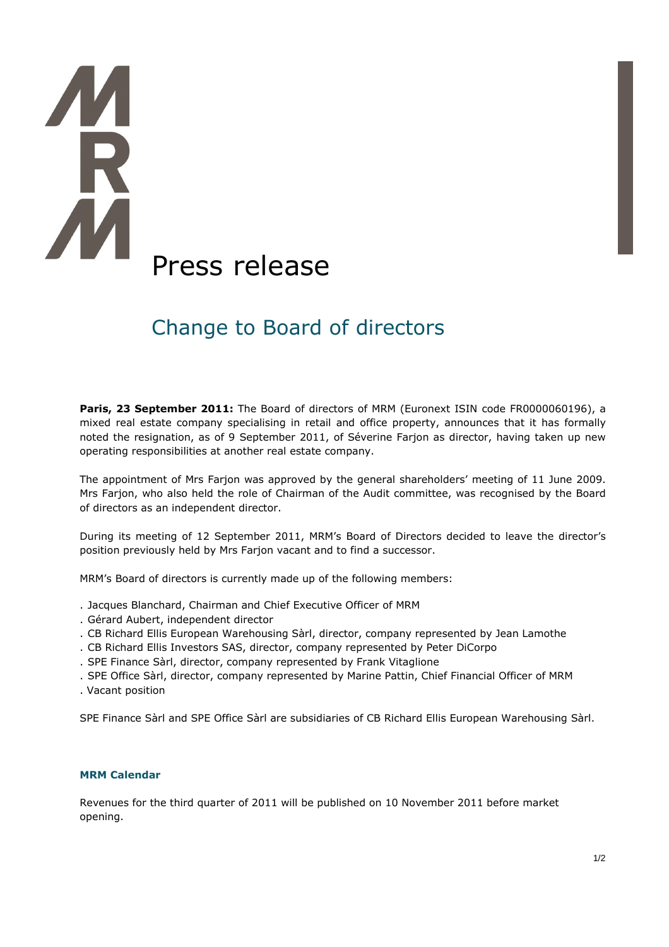# K Press release

# Change to Board of directors

Paris, 23 September 2011: The Board of directors of MRM (Euronext ISIN code FR0000060196), a mixed real estate company specialising in retail and office property, announces that it has formally noted the resignation, as of 9 September 2011, of Séverine Farjon as director, having taken up new operating responsibilities at another real estate company.

The appointment of Mrs Farjon was approved by the general shareholders' meeting of 11 June 2009. Mrs Farjon, who also held the role of Chairman of the Audit committee, was recognised by the Board of directors as an independent director.

During its meeting of 12 September 2011, MRM's Board of Directors decided to leave the director's position previously held by Mrs Farjon vacant and to find a successor.

MRM's Board of directors is currently made up of the following members:

- . Jacques Blanchard, Chairman and Chief Executive Officer of MRM
- . Gérard Aubert, independent director
- . CB Richard Ellis European Warehousing Sàrl, director, company represented by Jean Lamothe
- . CB Richard Ellis Investors SAS, director, company represented by Peter DiCorpo
- . SPE Finance Sàrl, director, company represented by Frank Vitaglione
- . SPE Office Sàrl, director, company represented by Marine Pattin, Chief Financial Officer of MRM
- . Vacant position

SPE Finance Sàrl and SPE Office Sàrl are subsidiaries of CB Richard Ellis European Warehousing Sàrl.

## **MRM Calendar**

Revenues for the third quarter of 2011 will be published on 10 November 2011 before market opening.